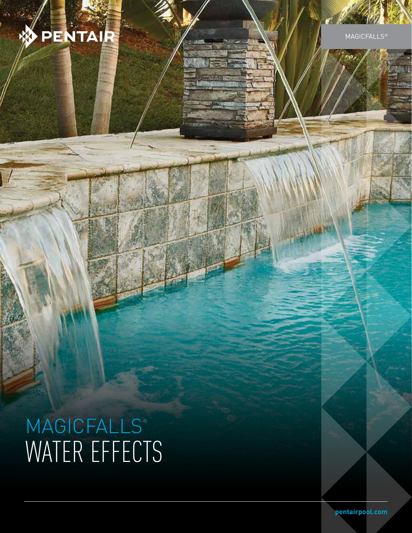## PENTAIR

MAGICFALLS®

Intelliflo XF Variable Speed Pump

### **MAGICFALLS®** WATER EFFECTS

**pentairpool.com**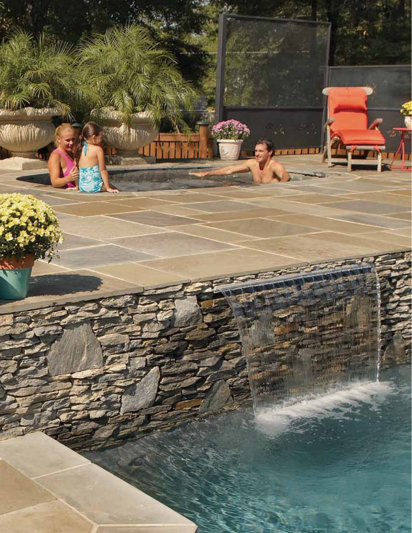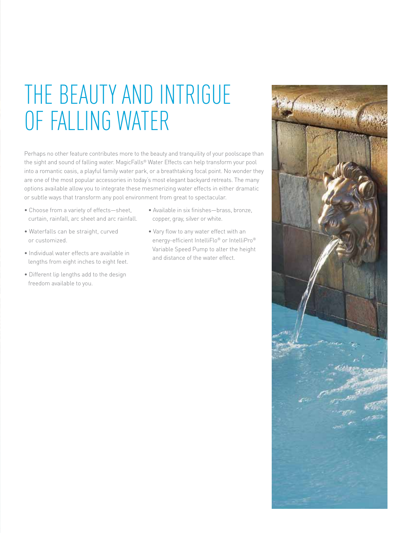## THE BEAUTY AND INTRIGUE OF FALLING WATER

Perhaps no other feature contributes more to the beauty and tranquility of your poolscape than the sight and sound of falling water. MagicFalls® Water Effects can help transform your pool into a romantic oasis, a playful family water park, or a breathtaking focal point. No wonder they are one of the most popular accessories in today's most elegant backyard retreats. The many options available allow you to integrate these mesmerizing water effects in either dramatic or subtle ways that transform any pool environment from great to spectacular.

- Choose from a variety of effects—sheet, curtain, rainfall, arc sheet and arc rainfall.
- Waterfalls can be straight, curved or customized.
- Individual water effects are available in lengths from eight inches to eight feet.
- Different lip lengths add to the design freedom available to you.
- Available in six finishes—brass, bronze, copper, gray, silver or white.
- Vary flow to any water effect with an energy-efficient IntelliFlo® or IntelliPro® Variable Speed Pump to alter the height and distance of the water effect.

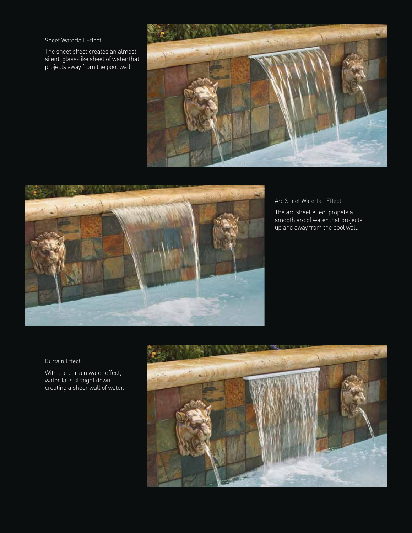Sheet Waterfall Effect

The sheet effect creates an almost silent, glass-like sheet of water that projects away from the pool wall.





#### Arc Sheet Waterfall Effect

The arc sheet effect propels a smooth arc of water that projects up and away from the pool wall.

#### Curtain Effect

With the curtain water effect, water falls straight down creating a sheer wall of water.

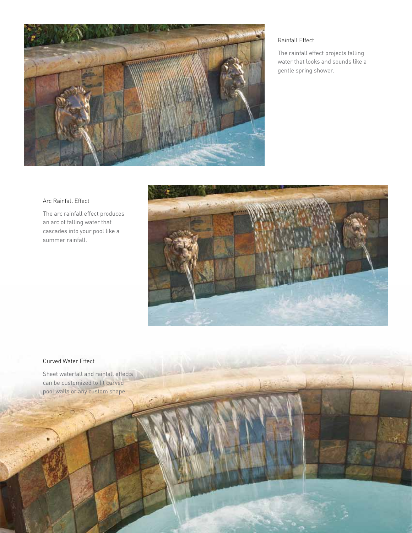

#### Rainfall Effect

The rainfall effect projects falling water that looks and sounds like a gentle spring shower.

#### Arc Rainfall Effect

The arc rainfall effect produces an arc of falling water that cascades into your pool like a summer rainfall.



#### Curved Water Effect

Sheet waterfall and rainfall effects can be customized to fit curved pool walls or any custom shape.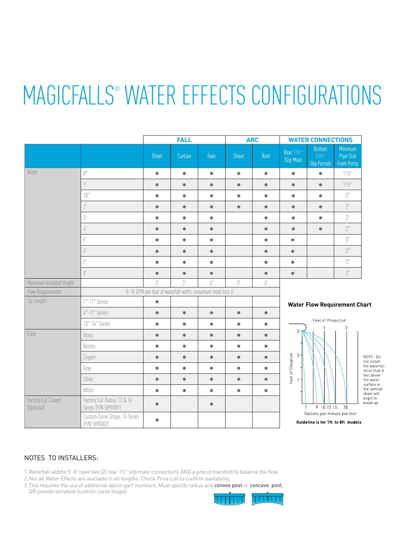# MAGICFALLS® WATER EFFECTS CO

|                                               |                                                            | <b>FALL</b>             |             |           | <b>ARC</b> |                         | <b>WATER CONNECTIONS</b>             |                                                                   |                                                 |                                                                       |  |  |
|-----------------------------------------------|------------------------------------------------------------|-------------------------|-------------|-----------|------------|-------------------------|--------------------------------------|-------------------------------------------------------------------|-------------------------------------------------|-----------------------------------------------------------------------|--|--|
|                                               |                                                            | Sheet                   | Curtain     | Rain      | Sheet      | Rain                    | Rear 11/2"<br><b>Slip Male</b>       | <b>Bottom</b><br>$11/2$ "<br><b>Slip Female</b>                   | Minimum<br><b>Pipe Size</b><br><b>From Pump</b> |                                                                       |  |  |
| Width                                         | $\upbeta$ "                                                | $\bullet$               | $\bullet$   | $\bullet$ | $\bullet$  | $\bullet$               | $\bullet$                            | $\bullet$                                                         | $11/2$ "                                        |                                                                       |  |  |
|                                               | $\uparrow^{\scriptscriptstyle\mathsf{I}}$                  | $\bullet$               | $\bullet$   | $\bullet$ | $\bullet$  | $\bullet$               | $\bullet$                            | $\bullet$                                                         | 11/2"                                           |                                                                       |  |  |
|                                               | 18"                                                        | $\bullet$               | $\bullet$   | $\bullet$ | $\bullet$  | $\bullet$               | $\bullet$                            | $\bullet$                                                         | $2^{\circ}$                                     |                                                                       |  |  |
|                                               | $2^{\circ}$                                                | $\bullet$               | $\bullet$   | $\bullet$ | $\bullet$  | $\bullet$               | $\bullet$                            | $\bullet$                                                         | $2^{\circ}$                                     |                                                                       |  |  |
|                                               | $3^\circ$                                                  | $\bullet$               | $\bullet$   | $\bullet$ |            | $\bullet$               | $\bullet$                            | $\bullet$                                                         | $2^{\circ}$                                     |                                                                       |  |  |
|                                               | $\int_{\frac{1}{2}}^1$                                     | $\bullet$               | $\bullet$   | $\bullet$ |            | $\bullet$               | $\bullet$                            | $\bullet$                                                         | $2^{\circ}$                                     |                                                                       |  |  |
|                                               | $5^\circ$                                                  | $\bullet$               | $\bullet$   | $\bullet$ |            | $\bullet$               | $\bullet^1$                          |                                                                   | $3"$                                            |                                                                       |  |  |
|                                               | ${\boldsymbol{\acute{0}}}^!$                               | $\bullet$               | $\bullet$   | $\bullet$ |            | $\bullet$               | $\bullet^1$                          |                                                                   | $3^{\circ}$                                     |                                                                       |  |  |
|                                               | $7^{\circ}$                                                | $\bullet$               | $\bullet$   | $\bullet$ |            | $\bullet$               | $\bullet$ <sup>1</sup>               |                                                                   | $3"$                                            |                                                                       |  |  |
|                                               | $8^\circ$                                                  | $\bullet$               | $\bullet$   | $\bullet$ |            | $\bullet$               | $\bullet^1$                          |                                                                   | $3"$                                            |                                                                       |  |  |
| Maximum Installed Height                      |                                                            | $\mathfrak{Z}^{\prime}$ | $3^{\circ}$ | b'        | $3^\circ$  | $\mathbf{b}^{\text{+}}$ |                                      |                                                                   |                                                 |                                                                       |  |  |
| Flow Requirements                             | 8-10 GPM per foot of waterfall width; maximum head loss 6' |                         |             |           |            |                         |                                      |                                                                   |                                                 |                                                                       |  |  |
| Lip Length <sup>2</sup>                       | 1"-11" Series                                              | $\bullet$               |             |           |            |                         | <b>Water Flow Requirement Chart</b>  |                                                                   |                                                 |                                                                       |  |  |
|                                               | 6"-12" Series                                              | $\bullet$               | $\bullet$   | $\bullet$ | $\bullet$  | $\bullet$               |                                      |                                                                   |                                                 |                                                                       |  |  |
|                                               | 13"-14" Series                                             | $\bullet$               | $\bullet$   | $\bullet$ | $\bullet$  | $\bullet$               | Feet of Projection<br>$\overline{c}$ |                                                                   |                                                 |                                                                       |  |  |
| Color                                         | <b>Brass</b>                                               | $\bullet$               | $\bullet$   | $\bullet$ | $\bullet$  | $\bullet$               | 3                                    |                                                                   |                                                 |                                                                       |  |  |
|                                               | Bronze                                                     | $\bullet$               | $\bullet$   | $\bullet$ | $\bullet$  | $\bullet$               |                                      |                                                                   |                                                 |                                                                       |  |  |
|                                               | Copper                                                     | $\bullet$               | $\bullet$   | $\bullet$ | $\bullet$  | $\bullet$               | 2                                    |                                                                   |                                                 | NOTE: Do<br>not install                                               |  |  |
|                                               | Gray                                                       | $\bullet$               | $\bullet$   | $\bullet$ | $\bullet$  | $\bullet$               | Feet of Elevation                    |                                                                   |                                                 | the waterfall<br>more than 3<br>feet above<br>the water<br>surface or |  |  |
|                                               | Silver                                                     | $\bullet$               | $\bullet$   | $\bullet$ | $\bullet$  | $\bullet$               |                                      |                                                                   |                                                 |                                                                       |  |  |
|                                               | White                                                      | $\bullet$               | $\bullet$   | $\bullet$ | $\bullet$  | $\bullet$               |                                      | the laminar<br>sheet will                                         |                                                 |                                                                       |  |  |
| Factory Cut Curves <sup>3</sup><br>(Optional) | Factory Cut Radius 12 & 14<br>Series (P/N 5890001)         | $\bullet$               |             | $\bullet$ |            |                         |                                      | 9 10 12 15<br>7                                                   | begin to<br>break up                            |                                                                       |  |  |
|                                               | Custom Curve Shape, 14 Series<br>(P/N 5890002)             | $\bullet$               |             |           |            |                         |                                      | Gallons per minute per foot<br>Guideline is for 1ft to 8ft models |                                                 |                                                                       |  |  |

#### NOTES TO INSTALLERS:

1.Waterfall widths 5'-8' have two (2) rear 11 ⁄2" slip male connections AND a precut manifold to balance the flow.

2.Not all Water Effects are available in all lengths. Check Price List to confirm availability.

3.This requires the use of additional option part numbers. Must specify radius and **convex pool** or **concave pool**, OR provide template (custom curve shape).

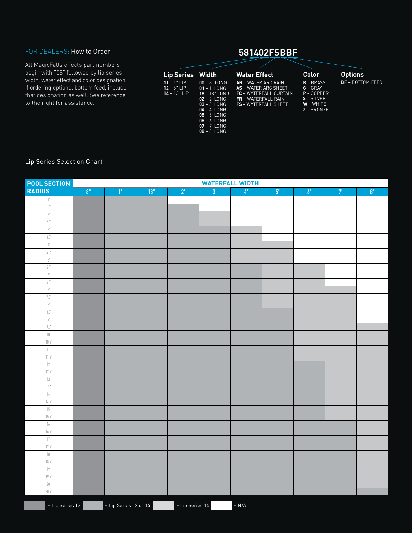#### FOR DEALERS: How to Order

All MagicFalls effects part numbers begin with "58" followed by lip series, width, water effect and color designation. If ordering optional bottom feed, include that designation as well. See reference to the right for assistance.

| 581402FSBBF |  |  |  |
|-------------|--|--|--|
|             |  |  |  |

|               | Lip Series Width                                                                                                                                                     | <b>Water Effect</b>                                                                                                                                               | Color                                                                                    | <b>Options</b>          |
|---------------|----------------------------------------------------------------------------------------------------------------------------------------------------------------------|-------------------------------------------------------------------------------------------------------------------------------------------------------------------|------------------------------------------------------------------------------------------|-------------------------|
| $11 - 1" LIP$ | $00 - 8"$ LONG<br><b>12</b> – 6" LIP <b>01</b> – 1' LONG<br>$02 - 2'$ LONG<br>$04 - 4'$ LONG<br>$05 - 5'$ LONG<br>$06 - 6'$ LONG<br>$07 - 7'$ LONG<br>$08 - 8'$ LONG | <b>AR</b> – WATER ARC RAIN<br><b>AS</b> – WATER ARC SHEET<br><b>FC</b> – WATERFALL CURTAIN<br><b>FR</b> – WATERFALL RAIN<br>$03 - 3'$ LONG $FS - WATERFALL SHEET$ | $B - BRASS$<br>$G - GRAY$<br>$P - COPPER$<br>$S - SILVER$<br>$W - WHITE$<br>$Z - BRONZE$ | <b>BF</b> - BOTTOM FEED |

#### Lip Series Selection Chart

| <b>POOL SECTION</b>             | <b>WATERFALL WIDTH</b> |                                       |       |                         |             |             |             |             |           |                           |
|---------------------------------|------------------------|---------------------------------------|-------|-------------------------|-------------|-------------|-------------|-------------|-----------|---------------------------|
| <b>RADIUS</b>                   | $8^{\rm m}$            | $1^{\circ}$                           | $18"$ | $2^{\circ}$             | $3^{\circ}$ | $4^{\circ}$ | $5^{\circ}$ | $6^{\circ}$ | $7^\circ$ | $\mathbf{8}^{\mathrm{r}}$ |
| $\uparrow$                      |                        |                                       |       |                         |             |             |             |             |           |                           |
| $1.5^{\circ}$                   |                        |                                       |       |                         |             |             |             |             |           |                           |
| $2^\circ$                       |                        |                                       |       |                         |             |             |             |             |           |                           |
| $2.5^\circ$                     |                        |                                       |       |                         |             |             |             |             |           |                           |
| $\mathfrak{z}$                  |                        |                                       |       |                         |             |             |             |             |           |                           |
| $3.5^\circ$                     |                        |                                       |       |                         |             |             |             |             |           |                           |
| $\int_0^1$                      |                        |                                       |       |                         |             |             |             |             |           |                           |
| $4.5^\circ$                     |                        |                                       |       |                         |             |             |             |             |           |                           |
| $5^\circ$                       |                        |                                       |       |                         |             |             |             |             |           |                           |
| $5.5^\circ$                     |                        |                                       |       |                         |             |             |             |             |           |                           |
| $\overline{\mathfrak{b}}^*$     |                        |                                       |       |                         |             |             |             |             |           |                           |
| $6.5^\circ$                     |                        |                                       |       |                         |             |             |             |             |           |                           |
| $7^{\circ}$<br>$7.5^{\circ}$    |                        |                                       |       |                         |             |             |             |             |           |                           |
| $\mathcal{B}^*$                 |                        |                                       |       |                         |             |             |             |             |           |                           |
| $8.5^\circ$                     |                        |                                       |       |                         |             |             |             |             |           |                           |
| $\theta_{\rm i}$                |                        |                                       |       |                         |             |             |             |             |           |                           |
| $9.5^\circ$                     |                        |                                       |       |                         |             |             |             |             |           |                           |
| $10^{\circ}$                    |                        |                                       |       |                         |             |             |             |             |           |                           |
| $10.5^\circ$                    |                        |                                       |       |                         |             |             |             |             |           |                           |
| $\vert \uparrow \vert$          |                        |                                       |       |                         |             |             |             |             |           |                           |
| $11.5^\circ$                    |                        |                                       |       |                         |             |             |             |             |           |                           |
| $12^{\circ}$                    |                        |                                       |       |                         |             |             |             |             |           |                           |
| $12.5^{\circ}$                  |                        |                                       |       |                         |             |             |             |             |           |                           |
| $13^{\circ}$                    |                        |                                       |       |                         |             |             |             |             |           |                           |
| $13.1$                          |                        |                                       |       |                         |             |             |             |             |           |                           |
| $14^{\circ}$                    |                        |                                       |       |                         |             |             |             |             |           |                           |
| $14.5^{\circ}$                  |                        |                                       |       |                         |             |             |             |             |           |                           |
| $15^{\circ}$                    |                        |                                       |       |                         |             |             |             |             |           |                           |
| $15.5^\circ$                    |                        |                                       |       |                         |             |             |             |             |           |                           |
| $16^{\circ}$                    |                        |                                       |       |                         |             |             |             |             |           |                           |
| $16.5^{\circ}$                  |                        |                                       |       |                         |             |             |             |             |           |                           |
| $17^{\circ}$                    |                        |                                       |       |                         |             |             |             |             |           |                           |
| 17.5'                           |                        |                                       |       |                         |             |             |             |             |           |                           |
| $18^{\circ}$                    |                        |                                       |       |                         |             |             |             |             |           |                           |
| $18.5^\circ$                    |                        |                                       |       |                         |             |             |             |             |           |                           |
| $19^{\circ}$                    |                        |                                       |       |                         |             |             |             |             |           |                           |
| $19.5^\circ$<br>$20^{\circ}$    |                        |                                       |       |                         |             |             |             |             |           |                           |
| $20.5^\circ$                    |                        |                                       |       |                         |             |             |             |             |           |                           |
|                                 |                        |                                       |       |                         |             |             |             |             |           |                           |
| $\vert$ = Lip Series 12 $\vert$ |                        | $\vert$ = Lip Series 12 or 14 $\vert$ |       | $\vert$ = Lip Series 14 |             | $=N/A$      |             |             |           |                           |